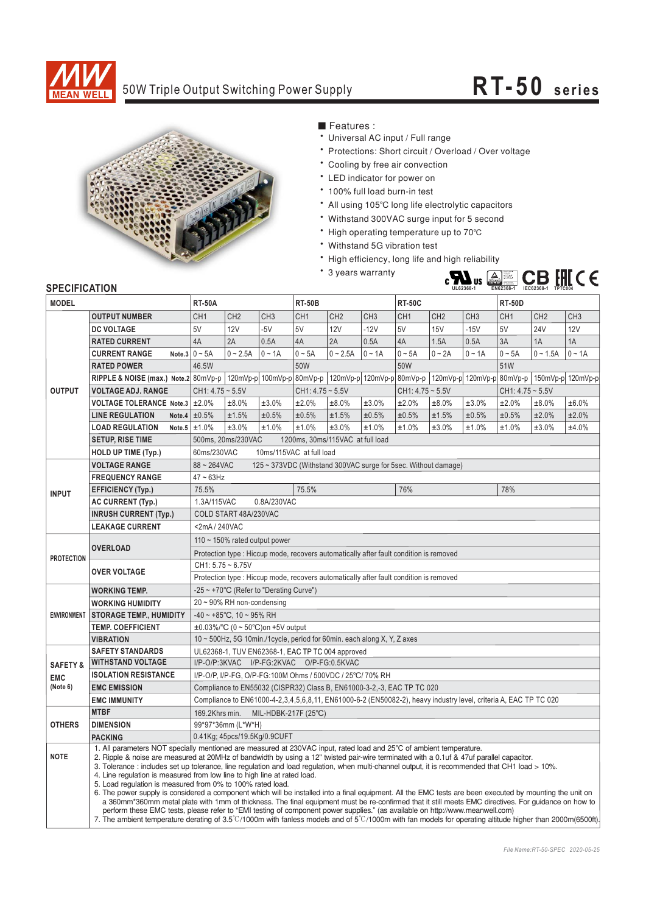

## 50W Triple Output Switching Power Supply **RT-50 series**



■ Features :

- \* Universal AC input / Full range
- \* Protections: Short circuit / Overload / Over voltage
- \* Cooling by free air convection
- \* LED indicator for power on
- \* 100% full load burn-in test
- All using 105°C long life electrolytic capacitors
- Withstand 300VAC surge input for 5 second
- High operating temperature up to 70℃
- Withstand 5G vibration test
- \* High efficiency, long life and high reliability
- \* 3 years warranty



## **SPECIFICATION**

| <b>JELUIFIUAI IUN</b>                         |                                                                                                                                                                                                                                                                                                                                                                                                                                                                                                                                                                                                                                                                                                                            |                                                                                                                  |                                                        |                              |                                                    |                 |                 |                    |                 |                 |                                    |                 |                 |
|-----------------------------------------------|----------------------------------------------------------------------------------------------------------------------------------------------------------------------------------------------------------------------------------------------------------------------------------------------------------------------------------------------------------------------------------------------------------------------------------------------------------------------------------------------------------------------------------------------------------------------------------------------------------------------------------------------------------------------------------------------------------------------------|------------------------------------------------------------------------------------------------------------------|--------------------------------------------------------|------------------------------|----------------------------------------------------|-----------------|-----------------|--------------------|-----------------|-----------------|------------------------------------|-----------------|-----------------|
| <b>MODEL</b>                                  |                                                                                                                                                                                                                                                                                                                                                                                                                                                                                                                                                                                                                                                                                                                            | <b>RT-50A</b>                                                                                                    |                                                        |                              | <b>RT-50B</b>                                      |                 |                 | <b>RT-50C</b>      |                 |                 | <b>RT-50D</b>                      |                 |                 |
|                                               | <b>OUTPUT NUMBER</b>                                                                                                                                                                                                                                                                                                                                                                                                                                                                                                                                                                                                                                                                                                       | CH <sub>1</sub>                                                                                                  | CH <sub>2</sub>                                        | CH <sub>3</sub>              | CH <sub>1</sub>                                    | CH <sub>2</sub> | CH <sub>3</sub> | CH <sub>1</sub>    | CH <sub>2</sub> | CH <sub>3</sub> | CH <sub>1</sub>                    | CH <sub>2</sub> | CH <sub>3</sub> |
| <b>OUTPUT</b>                                 | <b>DC VOLTAGE</b>                                                                                                                                                                                                                                                                                                                                                                                                                                                                                                                                                                                                                                                                                                          | 5V                                                                                                               | 12V                                                    | $-5V$                        | 5V                                                 | <b>12V</b>      | $-12V$          | 5V                 | <b>15V</b>      | $-15V$          | 5V                                 | <b>24V</b>      | 12V             |
|                                               | <b>RATED CURRENT</b>                                                                                                                                                                                                                                                                                                                                                                                                                                                                                                                                                                                                                                                                                                       | 4A                                                                                                               | 2A                                                     | 0.5A                         | 4A                                                 | 2A              | 0.5A            | 4A                 | 1.5A            | 0.5A            | 3A                                 | 1A              | 1A              |
|                                               | <b>CURRENT RANGE</b>                                                                                                                                                                                                                                                                                                                                                                                                                                                                                                                                                                                                                                                                                                       | Note.3 $0 \sim 5A$                                                                                               | $0 - 2.5A$                                             | $0 \sim 1A$                  | $0 - 5A$                                           | $0 - 2.5A$      | $0 \sim 1A$     | $0 - 5A$           | $0 - 2A$        | $0 - 1A$        | $0 - 5A$                           | $0 - 1.5A$      | $0 \sim 1A$     |
|                                               | <b>RATED POWER</b>                                                                                                                                                                                                                                                                                                                                                                                                                                                                                                                                                                                                                                                                                                         | 46.5W                                                                                                            |                                                        |                              | 50W                                                |                 |                 | 50W                |                 |                 | 51W                                |                 |                 |
|                                               | RIPPLE & NOISE (max.) Note.2 80mVp-p                                                                                                                                                                                                                                                                                                                                                                                                                                                                                                                                                                                                                                                                                       | 120mVp-p 100mVp-p                                                                                                |                                                        |                              | 80mVp-p   120mVp-p   120mVp-p   80mVp-p   120mVp-p |                 |                 |                    |                 |                 | 120mVp-p 80mVp-p 150mVp-p 120mVp-p |                 |                 |
|                                               | <b>VOLTAGE ADJ. RANGE</b>                                                                                                                                                                                                                                                                                                                                                                                                                                                                                                                                                                                                                                                                                                  | $CH1: 4.75 - 5.5V$                                                                                               |                                                        |                              | $CH1: 4.75 - 5.5V$                                 |                 |                 | $CH1: 4.75 - 5.5V$ |                 |                 | $CH1: 4.75 - 5.5V$                 |                 |                 |
|                                               | VOLTAGE TOLERANCE Note.3                                                                                                                                                                                                                                                                                                                                                                                                                                                                                                                                                                                                                                                                                                   | ±2.0%                                                                                                            | ±8.0%                                                  | ±3.0%                        | ±2.0%                                              | ±8.0%           | ±3.0%           | ±2.0%              | ±8.0%           | ±3.0%           | ±2.0%                              | ±8.0%           | ±6.0%           |
|                                               | <b>LINE REGULATION</b>                                                                                                                                                                                                                                                                                                                                                                                                                                                                                                                                                                                                                                                                                                     | Note.4 $\pm 0.5\%$                                                                                               | ±1.5%                                                  | ±0.5%                        | ±0.5%                                              | ±1.5%           | ±0.5%           | ±0.5%              | ±1.5%           | ±0.5%           | ±0.5%                              | ±2.0%           | ±2.0%           |
|                                               | <b>LOAD REGULATION</b>                                                                                                                                                                                                                                                                                                                                                                                                                                                                                                                                                                                                                                                                                                     | Note.5 $\pm 1.0\%$                                                                                               | ±3.0%                                                  | ±1.0%                        | ±1.0%                                              | ±3.0%           | ±1.0%           | ±1.0%              | ±3.0%           | ±1.0%           | ±1.0%                              | ±3.0%           | ±4.0%           |
|                                               | <b>SETUP, RISE TIME</b>                                                                                                                                                                                                                                                                                                                                                                                                                                                                                                                                                                                                                                                                                                    |                                                                                                                  | 500ms, 20ms/230VAC<br>1200ms, 30ms/115VAC at full load |                              |                                                    |                 |                 |                    |                 |                 |                                    |                 |                 |
|                                               | <b>HOLD UP TIME (Typ.)</b>                                                                                                                                                                                                                                                                                                                                                                                                                                                                                                                                                                                                                                                                                                 | 60ms/230VAC<br>10ms/115VAC at full load                                                                          |                                                        |                              |                                                    |                 |                 |                    |                 |                 |                                    |                 |                 |
| <b>INPUT</b>                                  | <b>VOLTAGE RANGE</b>                                                                                                                                                                                                                                                                                                                                                                                                                                                                                                                                                                                                                                                                                                       | $88 - 264$ VAC<br>125 ~ 373VDC (Withstand 300VAC surge for 5sec. Without damage)                                 |                                                        |                              |                                                    |                 |                 |                    |                 |                 |                                    |                 |                 |
|                                               | <b>FREQUENCY RANGE</b>                                                                                                                                                                                                                                                                                                                                                                                                                                                                                                                                                                                                                                                                                                     | $47 \sim 63$ Hz                                                                                                  |                                                        |                              |                                                    |                 |                 |                    |                 |                 |                                    |                 |                 |
|                                               | <b>EFFICIENCY (Typ.)</b>                                                                                                                                                                                                                                                                                                                                                                                                                                                                                                                                                                                                                                                                                                   | 75.5%                                                                                                            |                                                        |                              | 75.5%                                              |                 |                 | 76%                |                 |                 | 78%                                |                 |                 |
|                                               | AC CURRENT (Typ.)                                                                                                                                                                                                                                                                                                                                                                                                                                                                                                                                                                                                                                                                                                          | 1.3A/115VAC<br>0.8A/230VAC                                                                                       |                                                        |                              |                                                    |                 |                 |                    |                 |                 |                                    |                 |                 |
|                                               | <b>INRUSH CURRENT (Typ.)</b>                                                                                                                                                                                                                                                                                                                                                                                                                                                                                                                                                                                                                                                                                               | COLD START 48A/230VAC                                                                                            |                                                        |                              |                                                    |                 |                 |                    |                 |                 |                                    |                 |                 |
|                                               | <b>LEAKAGE CURRENT</b>                                                                                                                                                                                                                                                                                                                                                                                                                                                                                                                                                                                                                                                                                                     | <2mA/240VAC                                                                                                      |                                                        |                              |                                                    |                 |                 |                    |                 |                 |                                    |                 |                 |
| <b>PROTECTION</b>                             |                                                                                                                                                                                                                                                                                                                                                                                                                                                                                                                                                                                                                                                                                                                            | 110 $\sim$ 150% rated output power                                                                               |                                                        |                              |                                                    |                 |                 |                    |                 |                 |                                    |                 |                 |
|                                               | <b>OVERLOAD</b>                                                                                                                                                                                                                                                                                                                                                                                                                                                                                                                                                                                                                                                                                                            | Protection type : Hiccup mode, recovers automatically after fault condition is removed                           |                                                        |                              |                                                    |                 |                 |                    |                 |                 |                                    |                 |                 |
|                                               |                                                                                                                                                                                                                                                                                                                                                                                                                                                                                                                                                                                                                                                                                                                            | $CH1: 5.75 - 6.75V$                                                                                              |                                                        |                              |                                                    |                 |                 |                    |                 |                 |                                    |                 |                 |
|                                               | <b>OVER VOLTAGE</b>                                                                                                                                                                                                                                                                                                                                                                                                                                                                                                                                                                                                                                                                                                        | Protection type : Hiccup mode, recovers automatically after fault condition is removed                           |                                                        |                              |                                                    |                 |                 |                    |                 |                 |                                    |                 |                 |
| <b>ENVIRONMENT</b>                            | <b>WORKING TEMP.</b>                                                                                                                                                                                                                                                                                                                                                                                                                                                                                                                                                                                                                                                                                                       | -25 ~ +70°C (Refer to "Derating Curve")                                                                          |                                                        |                              |                                                    |                 |                 |                    |                 |                 |                                    |                 |                 |
|                                               | <b>WORKING HUMIDITY</b>                                                                                                                                                                                                                                                                                                                                                                                                                                                                                                                                                                                                                                                                                                    | $20 \sim 90\%$ RH non-condensing                                                                                 |                                                        |                              |                                                    |                 |                 |                    |                 |                 |                                    |                 |                 |
|                                               | <b>STORAGE TEMP., HUMIDITY</b>                                                                                                                                                                                                                                                                                                                                                                                                                                                                                                                                                                                                                                                                                             | $-40 \sim +85^{\circ}$ C, 10 ~ 95% RH                                                                            |                                                        |                              |                                                    |                 |                 |                    |                 |                 |                                    |                 |                 |
|                                               | <b>TEMP. COEFFICIENT</b>                                                                                                                                                                                                                                                                                                                                                                                                                                                                                                                                                                                                                                                                                                   | $\pm 0.03\%$ °C (0 ~ 50°C) on +5V output                                                                         |                                                        |                              |                                                    |                 |                 |                    |                 |                 |                                    |                 |                 |
|                                               | <b>VIBRATION</b>                                                                                                                                                                                                                                                                                                                                                                                                                                                                                                                                                                                                                                                                                                           | 10 ~ 500Hz, 5G 10min./1cycle, period for 60min. each along X, Y, Z axes                                          |                                                        |                              |                                                    |                 |                 |                    |                 |                 |                                    |                 |                 |
| <b>SAFETY &amp;</b><br><b>EMC</b><br>(Note 6) | <b>SAFETY STANDARDS</b>                                                                                                                                                                                                                                                                                                                                                                                                                                                                                                                                                                                                                                                                                                    | UL62368-1, TUV EN62368-1, EAC TP TC 004 approved                                                                 |                                                        |                              |                                                    |                 |                 |                    |                 |                 |                                    |                 |                 |
|                                               | <b>WITHSTAND VOLTAGE</b>                                                                                                                                                                                                                                                                                                                                                                                                                                                                                                                                                                                                                                                                                                   | I/P-O/P:3KVAC I/P-FG:2KVAC O/P-FG:0.5KVAC                                                                        |                                                        |                              |                                                    |                 |                 |                    |                 |                 |                                    |                 |                 |
|                                               | <b>ISOLATION RESISTANCE</b>                                                                                                                                                                                                                                                                                                                                                                                                                                                                                                                                                                                                                                                                                                | I/P-O/P, I/P-FG, O/P-FG:100M Ohms / 500VDC / 25°C/ 70% RH                                                        |                                                        |                              |                                                    |                 |                 |                    |                 |                 |                                    |                 |                 |
|                                               | <b>EMC EMISSION</b>                                                                                                                                                                                                                                                                                                                                                                                                                                                                                                                                                                                                                                                                                                        | Compliance to EN55032 (CISPR32) Class B, EN61000-3-2,-3, EAC TP TC 020                                           |                                                        |                              |                                                    |                 |                 |                    |                 |                 |                                    |                 |                 |
|                                               | <b>EMC IMMUNITY</b>                                                                                                                                                                                                                                                                                                                                                                                                                                                                                                                                                                                                                                                                                                        | Compliance to EN61000-4-2,3,4,5,6,8,11, EN61000-6-2 (EN50082-2), heavy industry level, criteria A, EAC TP TC 020 |                                                        |                              |                                                    |                 |                 |                    |                 |                 |                                    |                 |                 |
|                                               | <b>MTBF</b>                                                                                                                                                                                                                                                                                                                                                                                                                                                                                                                                                                                                                                                                                                                | 169.2Khrs min.<br>MIL-HDBK-217F (25°C)                                                                           |                                                        |                              |                                                    |                 |                 |                    |                 |                 |                                    |                 |                 |
| <b>OTHERS</b>                                 | <b>DIMENSION</b>                                                                                                                                                                                                                                                                                                                                                                                                                                                                                                                                                                                                                                                                                                           | 99*97*36mm (L*W*H)                                                                                               |                                                        |                              |                                                    |                 |                 |                    |                 |                 |                                    |                 |                 |
|                                               | <b>PACKING</b>                                                                                                                                                                                                                                                                                                                                                                                                                                                                                                                                                                                                                                                                                                             |                                                                                                                  |                                                        | 0.41Kg; 45pcs/19.5Kg/0.9CUFT |                                                    |                 |                 |                    |                 |                 |                                    |                 |                 |
| <b>NOTE</b>                                   | 1. All parameters NOT specially mentioned are measured at 230VAC input, rated load and 25°C of ambient temperature.<br>2. Ripple & noise are measured at 20MHz of bandwidth by using a 12" twisted pair-wire terminated with a 0.1uf & 47uf parallel capacitor.<br>3. Tolerance : includes set up tolerance, line regulation and load regulation, when multi-channel output, it is recommended that CH1 load > 10%.<br>4. Line regulation is measured from low line to high line at rated load.<br>5. Load regulation is measured from 0% to 100% rated load.<br>6. The power supply is considered a component which will be installed into a final equipment. All the EMC tests are been executed by mounting the unit on |                                                                                                                  |                                                        |                              |                                                    |                 |                 |                    |                 |                 |                                    |                 |                 |
|                                               | a 360mm*360mm metal plate with 1mm of thickness. The final equipment must be re-confirmed that it still meets EMC directives. For guidance on how to<br>perform these EMC tests, please refer to "EMI testing of component power supplies." (as available on http://www.meanwell.com)<br>7. The ambient temperature derating of 3.5°C/1000m with fanless models and of 5°C/1000m with fan models for operating altitude higher than 2000m(6500ft)                                                                                                                                                                                                                                                                          |                                                                                                                  |                                                        |                              |                                                    |                 |                 |                    |                 |                 |                                    |                 |                 |